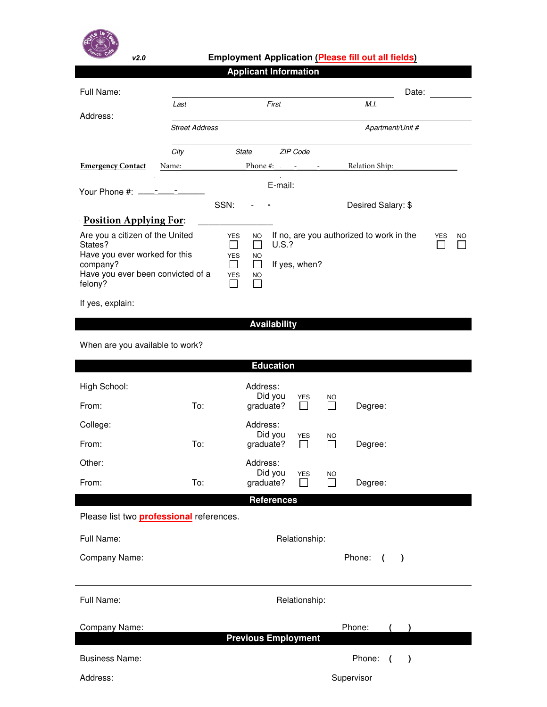

## **v***2***.***0* **Employment Application (Please fill out all fields)**

|                                                                                                                                                             |                       | <b>Applicant Information</b>                                                                                                                                             |                                          |            |           |  |  |  |
|-------------------------------------------------------------------------------------------------------------------------------------------------------------|-----------------------|--------------------------------------------------------------------------------------------------------------------------------------------------------------------------|------------------------------------------|------------|-----------|--|--|--|
| Full Name:                                                                                                                                                  |                       |                                                                                                                                                                          |                                          | Date:      |           |  |  |  |
| Address:                                                                                                                                                    | Last                  | First                                                                                                                                                                    | M.I.                                     |            |           |  |  |  |
|                                                                                                                                                             | <b>Street Address</b> |                                                                                                                                                                          | Apartment/Unit #                         |            |           |  |  |  |
|                                                                                                                                                             | City                  | State<br>ZIP Code                                                                                                                                                        |                                          |            |           |  |  |  |
| <b>Emergency Contact</b> Name:                                                                                                                              |                       |                                                                                                                                                                          | <u> Relation Ship:</u>                   |            |           |  |  |  |
|                                                                                                                                                             |                       | E-mail:                                                                                                                                                                  |                                          |            |           |  |  |  |
|                                                                                                                                                             | SSN:                  | $\overline{\phantom{a}}$                                                                                                                                                 | Desired Salary: \$                       |            |           |  |  |  |
| <b>Position Applying For:</b>                                                                                                                               |                       |                                                                                                                                                                          |                                          |            |           |  |  |  |
| Are you a citizen of the United<br>States?<br>Have you ever worked for this<br>company?<br>Have you ever been convicted of a<br>felony?<br>If yes, explain: |                       | <b>YES</b><br>NO.<br>П<br><b>U.S.?</b><br>$\blacksquare$<br><b>YES</b><br>NO.<br>$\Box$<br>If yes, when?<br>П<br><b>YES</b><br><b>NO</b><br>$\mathsf{L}$<br>$\mathsf{L}$ | If no, are you authorized to work in the | <b>YES</b> | <b>NO</b> |  |  |  |
|                                                                                                                                                             |                       | <b>Availability</b>                                                                                                                                                      |                                          |            |           |  |  |  |
|                                                                                                                                                             |                       |                                                                                                                                                                          |                                          |            |           |  |  |  |
| When are you available to work?                                                                                                                             |                       |                                                                                                                                                                          |                                          |            |           |  |  |  |
|                                                                                                                                                             |                       | <b>Education</b>                                                                                                                                                         |                                          |            |           |  |  |  |
| High School:                                                                                                                                                |                       | Address:<br>Did you<br>YES                                                                                                                                               | NO                                       |            |           |  |  |  |
| From:                                                                                                                                                       | To:                   | graduate?<br>$\Box$                                                                                                                                                      | Degree:                                  |            |           |  |  |  |
| College:                                                                                                                                                    |                       | Address:<br>Did you<br><b>YES</b>                                                                                                                                        | NO                                       |            |           |  |  |  |
| From:                                                                                                                                                       | To:                   | graduate?<br>$\Box$                                                                                                                                                      | $\mathsf{L}$<br>Degree:                  |            |           |  |  |  |
| Other:                                                                                                                                                      |                       | Address:<br>Did you<br><b>YES</b>                                                                                                                                        |                                          |            |           |  |  |  |
| From:                                                                                                                                                       | To:                   | graduate?<br>$\Box$                                                                                                                                                      | NO<br>$\mathbf{I}$<br>Degree:            |            |           |  |  |  |
|                                                                                                                                                             |                       | <b>References</b>                                                                                                                                                        |                                          |            |           |  |  |  |
| Please list two <b>professional</b> references.                                                                                                             |                       |                                                                                                                                                                          |                                          |            |           |  |  |  |
| Full Name:                                                                                                                                                  |                       | Relationship:                                                                                                                                                            |                                          |            |           |  |  |  |
| Company Name:                                                                                                                                               |                       |                                                                                                                                                                          | Phone: (<br>$\rightarrow$                |            |           |  |  |  |
|                                                                                                                                                             |                       |                                                                                                                                                                          |                                          |            |           |  |  |  |
| Full Name:                                                                                                                                                  | Relationship:         |                                                                                                                                                                          |                                          |            |           |  |  |  |
| Company Name:                                                                                                                                               |                       |                                                                                                                                                                          | Phone:                                   |            |           |  |  |  |
|                                                                                                                                                             |                       | <b>Previous Employment</b>                                                                                                                                               |                                          |            |           |  |  |  |
| <b>Business Name:</b>                                                                                                                                       |                       |                                                                                                                                                                          | Phone: ()                                |            |           |  |  |  |
| Address:                                                                                                                                                    |                       |                                                                                                                                                                          | Supervisor                               |            |           |  |  |  |